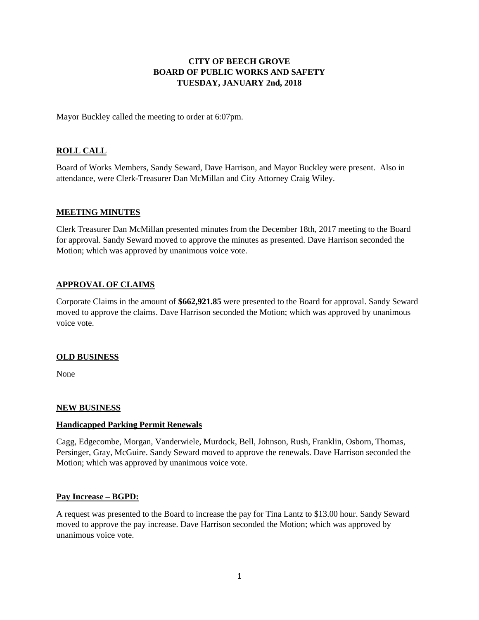## **CITY OF BEECH GROVE BOARD OF PUBLIC WORKS AND SAFETY TUESDAY, JANUARY 2nd, 2018**

Mayor Buckley called the meeting to order at 6:07pm.

# **ROLL CALL**

Board of Works Members, Sandy Seward, Dave Harrison, and Mayor Buckley were present. Also in attendance, were Clerk-Treasurer Dan McMillan and City Attorney Craig Wiley.

#### **MEETING MINUTES**

Clerk Treasurer Dan McMillan presented minutes from the December 18th, 2017 meeting to the Board for approval. Sandy Seward moved to approve the minutes as presented. Dave Harrison seconded the Motion; which was approved by unanimous voice vote.

### **APPROVAL OF CLAIMS**

Corporate Claims in the amount of **\$662,921.85** were presented to the Board for approval. Sandy Seward moved to approve the claims. Dave Harrison seconded the Motion; which was approved by unanimous voice vote.

### **OLD BUSINESS**

None

### **NEW BUSINESS**

### **Handicapped Parking Permit Renewals**

Cagg, Edgecombe, Morgan, Vanderwiele, Murdock, Bell, Johnson, Rush, Franklin, Osborn, Thomas, Persinger, Gray, McGuire. Sandy Seward moved to approve the renewals. Dave Harrison seconded the Motion; which was approved by unanimous voice vote.

### **Pay Increase – BGPD:**

A request was presented to the Board to increase the pay for Tina Lantz to \$13.00 hour. Sandy Seward moved to approve the pay increase. Dave Harrison seconded the Motion; which was approved by unanimous voice vote.